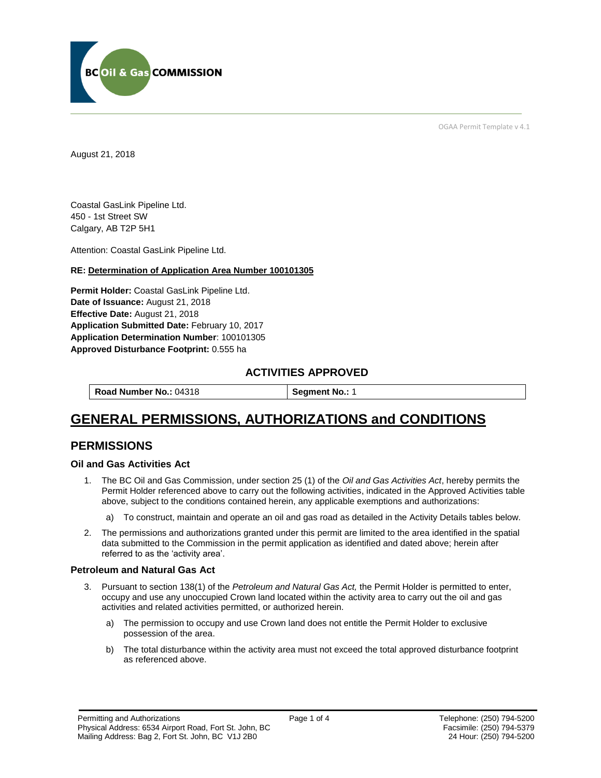

OGAA Permit Template v 4.1

August 21, 2018

Coastal GasLink Pipeline Ltd. 450 - 1st Street SW Calgary, AB T2P 5H1

Attention: Coastal GasLink Pipeline Ltd.

#### **RE: Determination of Application Area Number 100101305**

**Permit Holder:** Coastal GasLink Pipeline Ltd. **Date of Issuance:** August 21, 2018 **Effective Date:** August 21, 2018 **Application Submitted Date:** February 10, 2017 **Application Determination Number**: 100101305 **Approved Disturbance Footprint:** 0.555 ha

## **ACTIVITIES APPROVED**

**Road Number No.: 04318 <b>Segment No.: 1** 

# **GENERAL PERMISSIONS, AUTHORIZATIONS and CONDITIONS**

## **PERMISSIONS**

#### **Oil and Gas Activities Act**

- 1. The BC Oil and Gas Commission, under section 25 (1) of the *Oil and Gas Activities Act*, hereby permits the Permit Holder referenced above to carry out the following activities, indicated in the Approved Activities table above, subject to the conditions contained herein, any applicable exemptions and authorizations:
	- a) To construct, maintain and operate an oil and gas road as detailed in the Activity Details tables below.
- 2. The permissions and authorizations granted under this permit are limited to the area identified in the spatial data submitted to the Commission in the permit application as identified and dated above; herein after referred to as the 'activity area'.

#### **Petroleum and Natural Gas Act**

- 3. Pursuant to section 138(1) of the *Petroleum and Natural Gas Act,* the Permit Holder is permitted to enter, occupy and use any unoccupied Crown land located within the activity area to carry out the oil and gas activities and related activities permitted, or authorized herein.
	- a) The permission to occupy and use Crown land does not entitle the Permit Holder to exclusive possession of the area.
	- b) The total disturbance within the activity area must not exceed the total approved disturbance footprint as referenced above.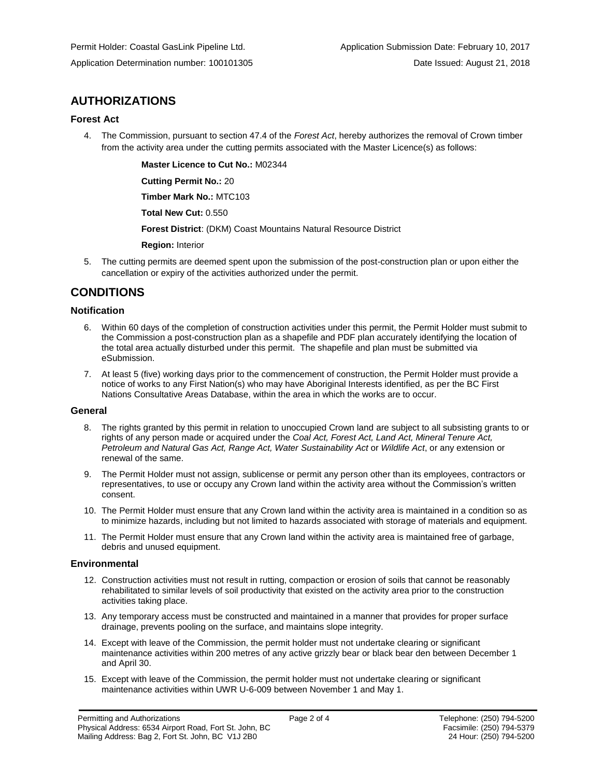# **AUTHORIZATIONS**

### **Forest Act**

4. The Commission, pursuant to section 47.4 of the *Forest Act*, hereby authorizes the removal of Crown timber from the activity area under the cutting permits associated with the Master Licence(s) as follows:

**Master Licence to Cut No.:** M02344

**Cutting Permit No.:** 20

**Timber Mark No.:** MTC103

**Total New Cut:** 0.550

**Forest District**: (DKM) Coast Mountains Natural Resource District

**Region:** Interior

5. The cutting permits are deemed spent upon the submission of the post-construction plan or upon either the cancellation or expiry of the activities authorized under the permit.

# **CONDITIONS**

### **Notification**

- 6. Within 60 days of the completion of construction activities under this permit, the Permit Holder must submit to the Commission a post-construction plan as a shapefile and PDF plan accurately identifying the location of the total area actually disturbed under this permit. The shapefile and plan must be submitted via eSubmission.
- 7. At least 5 (five) working days prior to the commencement of construction, the Permit Holder must provide a notice of works to any First Nation(s) who may have Aboriginal Interests identified, as per the BC First Nations Consultative Areas Database, within the area in which the works are to occur.

#### **General**

- 8. The rights granted by this permit in relation to unoccupied Crown land are subject to all subsisting grants to or rights of any person made or acquired under the *Coal Act, Forest Act, Land Act, Mineral Tenure Act, Petroleum and Natural Gas Act, Range Act, Water Sustainability Act* or *Wildlife Act*, or any extension or renewal of the same.
- 9. The Permit Holder must not assign, sublicense or permit any person other than its employees, contractors or representatives, to use or occupy any Crown land within the activity area without the Commission's written consent.
- 10. The Permit Holder must ensure that any Crown land within the activity area is maintained in a condition so as to minimize hazards, including but not limited to hazards associated with storage of materials and equipment.
- 11. The Permit Holder must ensure that any Crown land within the activity area is maintained free of garbage, debris and unused equipment.

#### **Environmental**

- 12. Construction activities must not result in rutting, compaction or erosion of soils that cannot be reasonably rehabilitated to similar levels of soil productivity that existed on the activity area prior to the construction activities taking place.
- 13. Any temporary access must be constructed and maintained in a manner that provides for proper surface drainage, prevents pooling on the surface, and maintains slope integrity.
- 14. Except with leave of the Commission, the permit holder must not undertake clearing or significant maintenance activities within 200 metres of any active grizzly bear or black bear den between December 1 and April 30.
- 15. Except with leave of the Commission, the permit holder must not undertake clearing or significant maintenance activities within UWR U-6-009 between November 1 and May 1.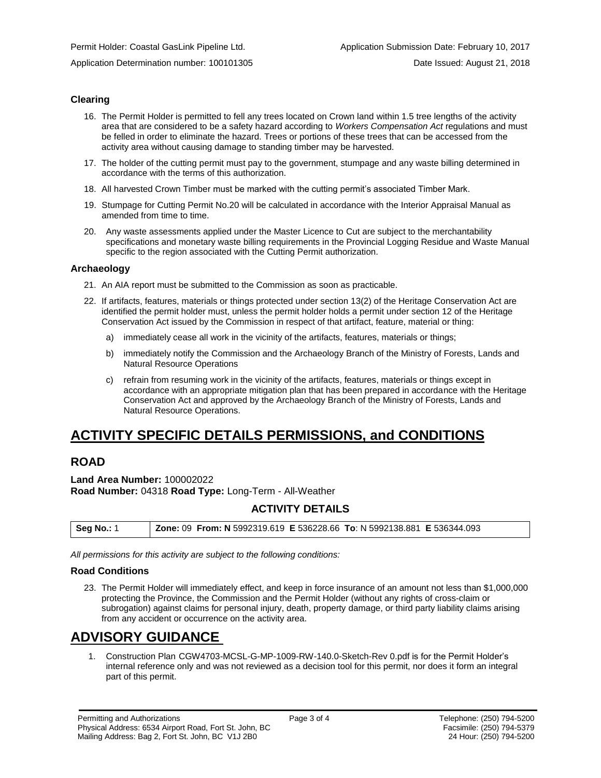### **Clearing**

- 16. The Permit Holder is permitted to fell any trees located on Crown land within 1.5 tree lengths of the activity area that are considered to be a safety hazard according to *Workers Compensation Act* regulations and must be felled in order to eliminate the hazard. Trees or portions of these trees that can be accessed from the activity area without causing damage to standing timber may be harvested.
- 17. The holder of the cutting permit must pay to the government, stumpage and any waste billing determined in accordance with the terms of this authorization.
- 18. All harvested Crown Timber must be marked with the cutting permit's associated Timber Mark.
- 19. Stumpage for Cutting Permit No.20 will be calculated in accordance with the Interior Appraisal Manual as amended from time to time.
- 20. Any waste assessments applied under the Master Licence to Cut are subject to the merchantability specifications and monetary waste billing requirements in the Provincial Logging Residue and Waste Manual specific to the region associated with the Cutting Permit authorization.

#### **Archaeology**

- 21. An AIA report must be submitted to the Commission as soon as practicable.
- 22. If artifacts, features, materials or things protected under section 13(2) of the Heritage Conservation Act are identified the permit holder must, unless the permit holder holds a permit under section 12 of the Heritage Conservation Act issued by the Commission in respect of that artifact, feature, material or thing:
	- a) immediately cease all work in the vicinity of the artifacts, features, materials or things;
	- b) immediately notify the Commission and the Archaeology Branch of the Ministry of Forests, Lands and Natural Resource Operations
	- c) refrain from resuming work in the vicinity of the artifacts, features, materials or things except in accordance with an appropriate mitigation plan that has been prepared in accordance with the Heritage Conservation Act and approved by the Archaeology Branch of the Ministry of Forests, Lands and Natural Resource Operations.

# **ACTIVITY SPECIFIC DETAILS PERMISSIONS, and CONDITIONS**

# **ROAD**

**Land Area Number:** 100002022 **Road Number:** 04318 **Road Type:** Long-Term - All-Weather

## **ACTIVITY DETAILS**

*All permissions for this activity are subject to the following conditions:*

#### **Road Conditions**

23. The Permit Holder will immediately effect, and keep in force insurance of an amount not less than \$1,000,000 protecting the Province, the Commission and the Permit Holder (without any rights of cross-claim or subrogation) against claims for personal injury, death, property damage, or third party liability claims arising from any accident or occurrence on the activity area.

# **ADVISORY GUIDANCE**

1. Construction Plan CGW4703-MCSL-G-MP-1009-RW-140.0-Sketch-Rev 0.pdf is for the Permit Holder's internal reference only and was not reviewed as a decision tool for this permit, nor does it form an integral part of this permit.